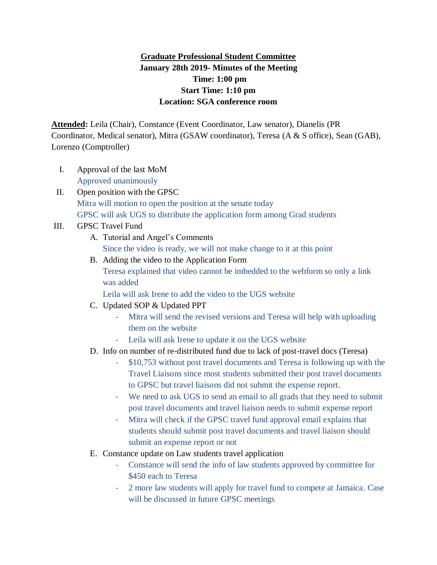## **Graduate Professional Student Committee January 28th 2019- Minutes of the Meeting Time: 1:00 pm Start Time: 1:10 pm Location: SGA conference room**

**Attended:** Leila (Chair), Constance (Event Coordinator, Law senator), Dianelis (PR Coordinator, Medical senator), Mitra (GSAW coordinator), Teresa (A & S office), Sean (GAB), Lorenzo (Comptroller)

- I. Approval of the last MoM Approved unanimously
- II. Open position with the GPSC Mitra will motion to open the position at the senate today GPSC will ask UGS to distribute the application form among Grad students
- III. GPSC Travel Fund
	- A. Tutorial and Angel's Comments Since the video is ready, we will not make change to it at this point
	- B. Adding the video to the Application Form Teresa explained that video cannot be imbedded to the webform so only a link was added

Leila will ask Irene to add the video to the UGS website

- C. Updated SOP & Updated PPT
	- Mitra will send the revised versions and Teresa will help with uploading them on the website
	- Leila will ask Irene to update it on the UGS website
- D. Info on number of re-distributed fund due to lack of post-travel docs (Teresa)
	- \$10,753 without post travel documents and Teresa is following up with the Travel Liaisons since most students submitted their post travel documents to GPSC but travel liaisons did not submit the expense report.
	- We need to ask UGS to send an email to all grads that they need to submit post travel documents and travel liaison needs to submit expense report
	- Mitra will check if the GPSC travel fund approval email explains that students should submit post travel documents and travel liaison should submit an expense report or not
- E. Constance update on Law students travel application
	- Constance will send the info of law students approved by committee for \$450 each to Teresa
	- 2 more law students will apply for travel fund to compete at Jamaica. Case will be discussed in future GPSC meetings